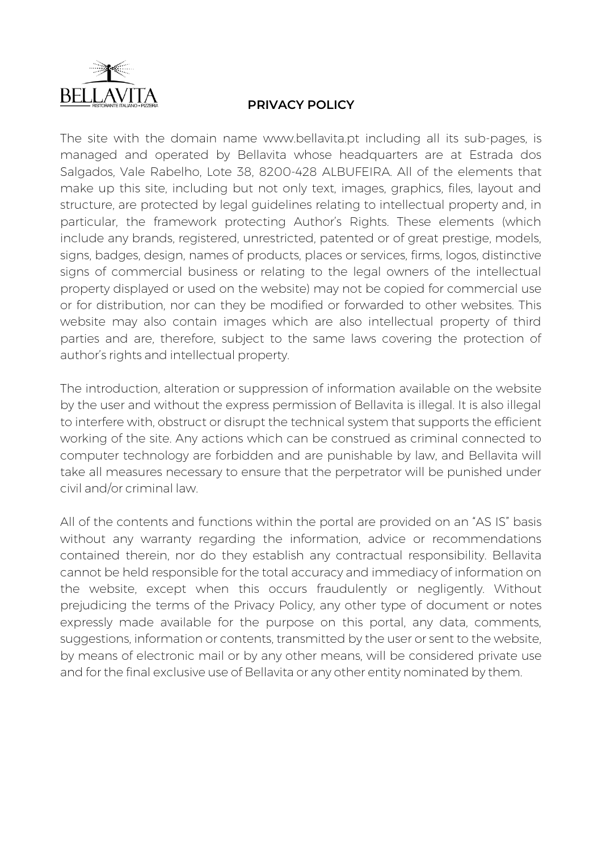

## **PRIVACY POLICY**

The site with the domain name www.bellavita.pt including all its sub-pages, is managed and operated by Bellavita whose headquarters are at Estrada dos Salgados, Vale Rabelho, Lote 38, 8200-428 ALBUFEIRA. All of the elements that make up this site, including but not only text, images, graphics, files, layout and structure, are protected by legal guidelines relating to intellectual property and, in particular, the framework protecting Author's Rights. These elements (which include any brands, registered, unrestricted, patented or of great prestige, models, signs, badges, design, names of products, places or services, firms, logos, distinctive signs of commercial business or relating to the legal owners of the intellectual property displayed or used on the website) may not be copied for commercial use or for distribution, nor can they be modified or forwarded to other websites. This website may also contain images which are also intellectual property of third parties and are, therefore, subject to the same laws covering the protection of author's rights and intellectual property.

The introduction, alteration or suppression of information available on the website by the user and without the express permission of Bellavita is illegal. It is also illegal to interfere with, obstruct or disrupt the technical system that supports the efficient working of the site. Any actions which can be construed as criminal connected to computer technology are forbidden and are punishable by law, and Bellavita will take all measures necessary to ensure that the perpetrator will be punished under civil and/or criminal law.

All of the contents and functions within the portal are provided on an "AS IS" basis without any warranty regarding the information, advice or recommendations contained therein, nor do they establish any contractual responsibility. Bellavita cannot be held responsible for the total accuracy and immediacy of information on the website, except when this occurs fraudulently or negligently. Without prejudicing the terms of the Privacy Policy, any other type of document or notes expressly made available for the purpose on this portal, any data, comments, suggestions, information or contents, transmitted by the user or sent to the website, by means of electronic mail or by any other means, will be considered private use and for the final exclusive use of Bellavita or any other entity nominated by them.